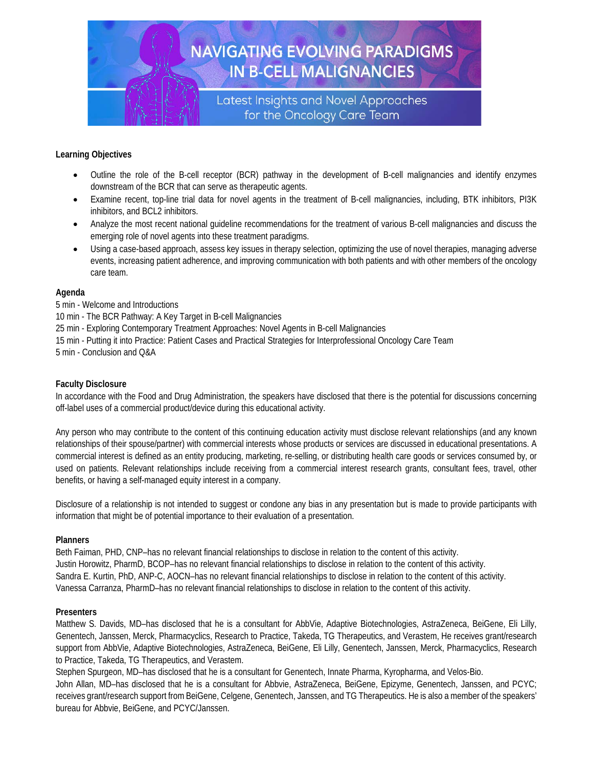

# **Learning Objectives**

- Outline the role of the B-cell receptor (BCR) pathway in the development of B-cell malignancies and identify enzymes downstream of the BCR that can serve as therapeutic agents.
- Examine recent, top-line trial data for novel agents in the treatment of B-cell malignancies, including, BTK inhibitors, PI3K inhibitors, and BCL2 inhibitors.
- Analyze the most recent national guideline recommendations for the treatment of various B-cell malignancies and discuss the emerging role of novel agents into these treatment paradigms.
- Using a case-based approach, assess key issues in therapy selection, optimizing the use of novel therapies, managing adverse events, increasing patient adherence, and improving communication with both patients and with other members of the oncology care team.

## **Agenda**

5 min - Welcome and Introductions

- 10 min The BCR Pathway: A Key Target in B-cell Malignancies
- 25 min Exploring Contemporary Treatment Approaches: Novel Agents in B-cell Malignancies
- 15 min Putting it into Practice: Patient Cases and Practical Strategies for Interprofessional Oncology Care Team

5 min - Conclusion and Q&A

# **Faculty Disclosure**

In accordance with the Food and Drug Administration, the speakers have disclosed that there is the potential for discussions concerning off-label uses of a commercial product/device during this educational activity.

Any person who may contribute to the content of this continuing education activity must disclose relevant relationships (and any known relationships of their spouse/partner) with commercial interests whose products or services are discussed in educational presentations. A commercial interest is defined as an entity producing, marketing, re-selling, or distributing health care goods or services consumed by, or used on patients. Relevant relationships include receiving from a commercial interest research grants, consultant fees, travel, other benefits, or having a self-managed equity interest in a company.

Disclosure of a relationship is not intended to suggest or condone any bias in any presentation but is made to provide participants with information that might be of potential importance to their evaluation of a presentation.

### **Planners**

Beth Faiman, PHD, CNP–has no relevant financial relationships to disclose in relation to the content of this activity. Justin Horowitz, PharmD, BCOP–has no relevant financial relationships to disclose in relation to the content of this activity. Sandra E. Kurtin, PhD, ANP-C, AOCN–has no relevant financial relationships to disclose in relation to the content of this activity. Vanessa Carranza, PharmD–has no relevant financial relationships to disclose in relation to the content of this activity.

### **Presenters**

Matthew S. Davids, MD–has disclosed that he is a consultant for AbbVie, Adaptive Biotechnologies, AstraZeneca, BeiGene, Eli Lilly, Genentech, Janssen, Merck, Pharmacyclics, Research to Practice, Takeda, TG Therapeutics, and Verastem, He receives grant/research support from AbbVie, Adaptive Biotechnologies, AstraZeneca, BeiGene, Eli Lilly, Genentech, Janssen, Merck, Pharmacyclics, Research to Practice, Takeda, TG Therapeutics, and Verastem.

Stephen Spurgeon, MD–has disclosed that he is a consultant for Genentech, Innate Pharma, Kyropharma, and Velos-Bio. John Allan, MD–has disclosed that he is a consultant for Abbvie, AstraZeneca, BeiGene, Epizyme, Genentech, Janssen, and PCYC; receives grant/research support from BeiGene, Celgene, Genentech, Janssen, and TG Therapeutics. He is also a member of the speakers' bureau for Abbvie, BeiGene, and PCYC/Janssen.